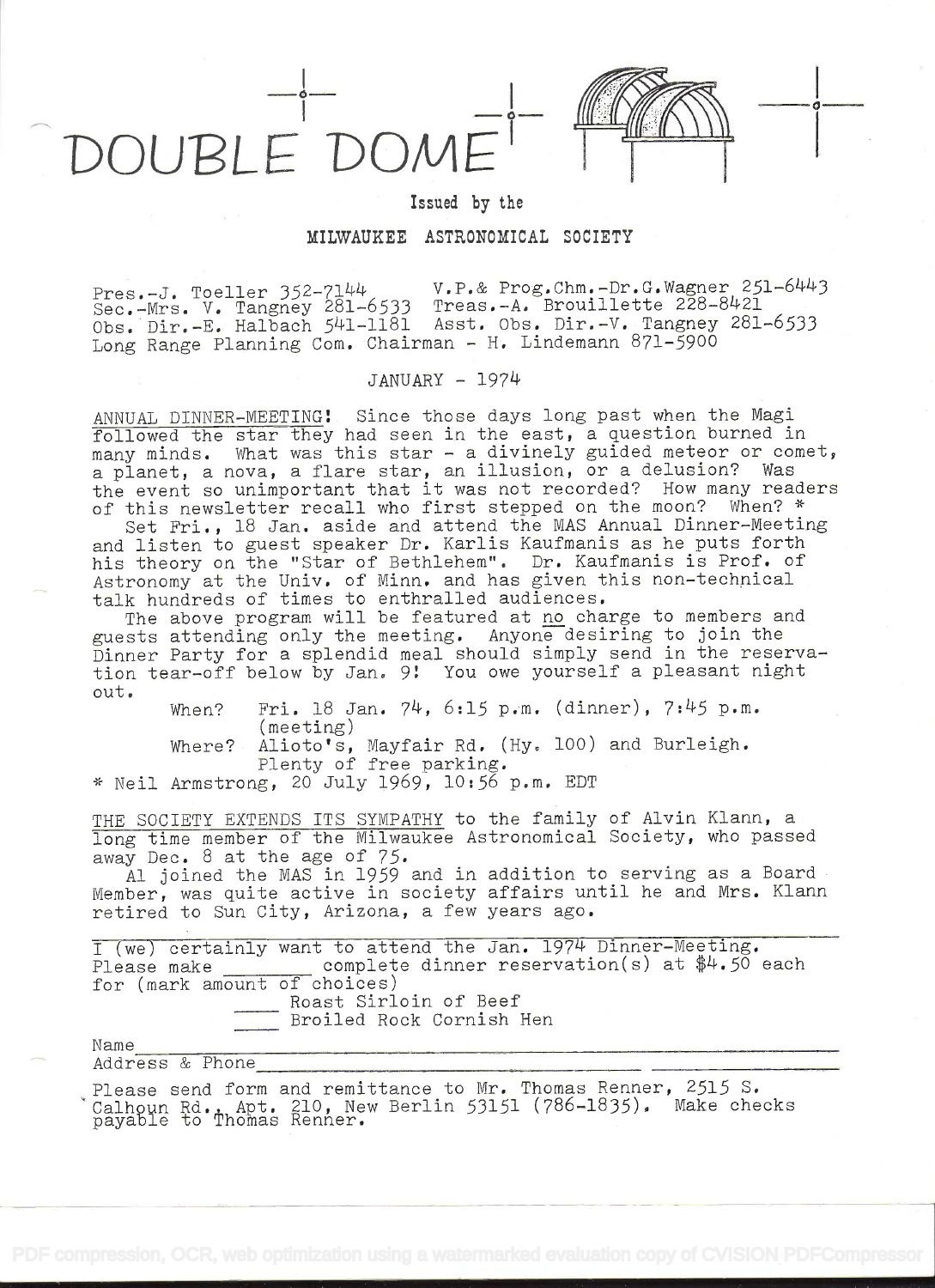

Issued by the

## MILWAUKEE ASTRONOMICAL SOCIETY

Pres.-J. Toeller 352-7144 V.P.& Prog.Chm.-Dr.G.Wagner 251-6443 Fres.-J. Toeller 192-431-6533 Treas.-A. Brouillette 228-8421 Obs.Dìr.-E. Ralbach 541-1181 Asst. Obs. Dir.-V. Tangney 281-6533 Long Range Planning Com. Chairman - H. Lindemann  $871-5900$ 

## JANUARY - 1974

ANNUAL DINNER-MEETING! Since those days long past when the Magi followed the star they had seen in the east, a question burned in many minds. What was this star - a divinely guided meteor or comet, a planet, a nova, a flare star, an illusion, or a delusion? Was the event so unimportant that it was not recorded? How many readers of this newsletter recall who first stepped on the moon? When? \*

Set Fri., 18 Jan. aside and attend the MAS Annual Dinner-Meeting and listen to guest speaker Dr. Karlis Kaufmanis as he puts forth his theory on the "Star of Bethlehem". Dr. Kaufmanis is Prof. of Astronomy at the Univ. of Minn. and has given this non-technical talk hundreds of times to enthralled audiences.

The above program will be featured at no charge to members and guests attending only the meeting. Anyone desiring to join the Dinner Party for a splendid meal should simply send in the reservation tear-off below by Jan. 9! You owe yourself a pleasant night out.

When? Fri. 18 Jan. 74, 6:15 p.m. (dinner), 7:45 p.m. ( meeting)

Where? Alioto's, Mayfair Rd. (Hy. 100) and Burleigh. Plenty of free parking.

\* Neil Armstrong, 20 July 1969, 10:56 p.m. EDT

THE SOCIETY EXTENDS ITS SYMPATHY to long time member of the Milwaukee Astronomic away Dec. 8 at the age of 75. the family of Alvin Klann, a tronomical Society, who passed

Al joined the MAS in 1959 and in addition to serving as a Board Member, was quite active in society affairs until he and Mrs. Klann retired to Sun City, Arizona, a few years ago.

I (we) certainly want to attend the Jan. 1974 Dinner-Meeting. Please make  $\Box$  complete dinner reservation(s) at  $\frac{4}{4}$ .50 each for (mark amount of choices) Roast Sirloin of Beef

Broiled Rock Cornish Hen

Name

Address & Phone

Please send form and remittance to Mr. Thomas Renner, 2515 S. Calhoun Rd, Apt. 210, New Berlin 53151 (786-1835). Make checks payable to Thomas Renner.